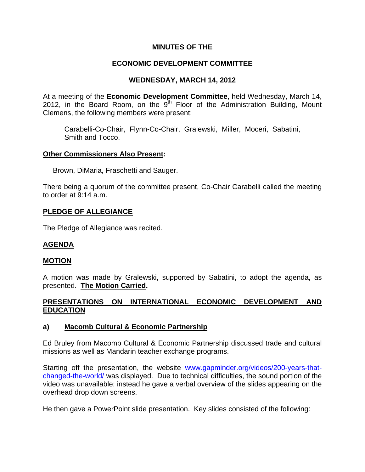# **MINUTES OF THE**

# **ECONOMIC DEVELOPMENT COMMITTEE**

# **WEDNESDAY, MARCH 14, 2012**

At a meeting of the **Economic Development Committee**, held Wednesday, March 14, 2012, in the Board Room, on the  $9<sup>th</sup>$  Floor of the Administration Building, Mount Clemens, the following members were present:

Carabelli-Co-Chair, Flynn-Co-Chair, Gralewski, Miller, Moceri, Sabatini, Smith and Tocco.

## **Other Commissioners Also Present:**

Brown, DiMaria, Fraschetti and Sauger.

There being a quorum of the committee present, Co-Chair Carabelli called the meeting to order at 9:14 a.m.

## **PLEDGE OF ALLEGIANCE**

The Pledge of Allegiance was recited.

# **AGENDA**

## **MOTION**

A motion was made by Gralewski, supported by Sabatini, to adopt the agenda, as presented. **The Motion Carried.** 

# **PRESENTATIONS ON INTERNATIONAL ECONOMIC DEVELOPMENT AND EDUCATION**

# **a) Macomb Cultural & Economic Partnership**

Ed Bruley from Macomb Cultural & Economic Partnership discussed trade and cultural missions as well as Mandarin teacher exchange programs.

Starting off the presentation, the website [www.gapminder.org/videos/200-years-that](http://www.gapminder.org/videos/200-years-that-changed-the-world/)[changed-the-world/](http://www.gapminder.org/videos/200-years-that-changed-the-world/) was displayed. Due to technical difficulties, the sound portion of the video was unavailable; instead he gave a verbal overview of the slides appearing on the overhead drop down screens.

He then gave a PowerPoint slide presentation. Key slides consisted of the following: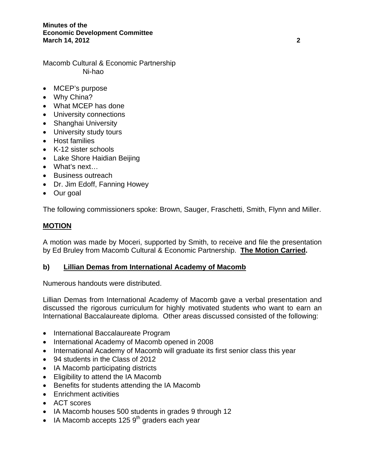#### **Minutes of the Economic Development Committee March 14, 2012 2**

Macomb Cultural & Economic Partnership Ni-hao

- MCEP's purpose
- Why China?
- What MCEP has done
- University connections
- Shanghai University
- University study tours
- Host families
- K-12 sister schools
- Lake Shore Haidian Beijing
- What's next…
- Business outreach
- Dr. Jim Edoff, Fanning Howey
- Our goal

The following commissioners spoke: Brown, Sauger, Fraschetti, Smith, Flynn and Miller.

# **MOTION**

A motion was made by Moceri, supported by Smith, to receive and file the presentation by Ed Bruley from Macomb Cultural & Economic Partnership. **The Motion Carried.** 

# **b) Lillian Demas from International Academy of Macomb**

Numerous handouts were distributed.

Lillian Demas from International Academy of Macomb gave a verbal presentation and discussed the rigorous curriculum for highly motivated students who want to earn an International Baccalaureate diploma. Other areas discussed consisted of the following:

- International Baccalaureate Program
- International Academy of Macomb opened in 2008
- International Academy of Macomb will graduate its first senior class this year
- 94 students in the Class of 2012
- IA Macomb participating districts
- Eligibility to attend the IA Macomb
- Benefits for students attending the IA Macomb
- Enrichment activities
- ACT scores
- IA Macomb houses 500 students in grades 9 through 12
- IA Macomb accepts 125  $9<sup>th</sup>$  graders each year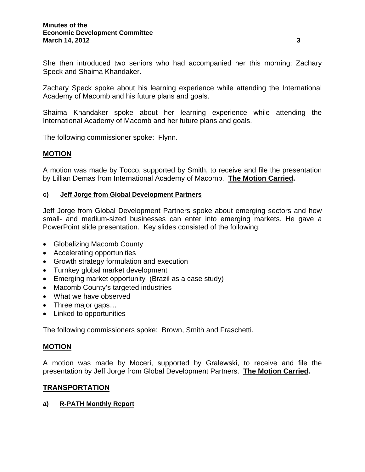She then introduced two seniors who had accompanied her this morning: Zachary Speck and Shaima Khandaker.

Zachary Speck spoke about his learning experience while attending the International Academy of Macomb and his future plans and goals.

Shaima Khandaker spoke about her learning experience while attending the International Academy of Macomb and her future plans and goals.

The following commissioner spoke: Flynn.

## **MOTION**

A motion was made by Tocco, supported by Smith, to receive and file the presentation by Lillian Demas from International Academy of Macomb. **The Motion Carried.** 

## **c) Jeff Jorge from Global Development Partners**

Jeff Jorge from Global Development Partners spoke about emerging sectors and how small- and medium-sized businesses can enter into emerging markets. He gave a PowerPoint slide presentation. Key slides consisted of the following:

- Globalizing Macomb County
- Accelerating opportunities
- Growth strategy formulation and execution
- Turnkey global market development
- Emerging market opportunity (Brazil as a case study)
- Macomb County's targeted industries
- What we have observed
- Three major gaps...
- Linked to opportunities

The following commissioners spoke: Brown, Smith and Fraschetti.

# **MOTION**

A motion was made by Moceri, supported by Gralewski, to receive and file the presentation by Jeff Jorge from Global Development Partners. **The Motion Carried.** 

# **TRANSPORTATION**

## **a) R-PATH Monthly Report**